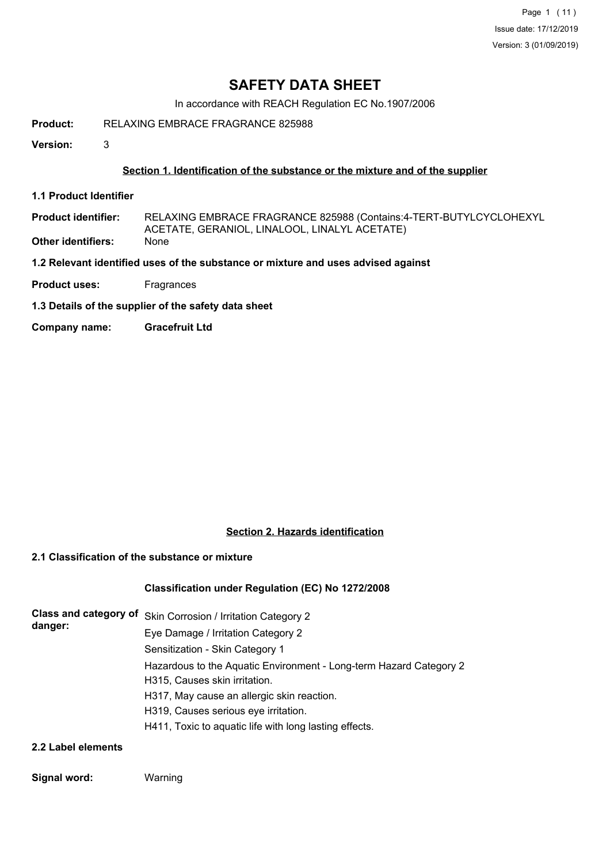Page 1 (11) Issue date: 17/12/2019 Version: 3 (01/09/2019)

## **SAFETY DATA SHEET**

In accordance with REACH Regulation EC No.1907/2006

**Product:** RELAXING EMBRACE FRAGRANCE 825988

**Version:** 3

## **Section 1. Identification of the substance or the mixture and of the supplier**

- **1.1 Product Identifier**
- RELAXING EMBRACE FRAGRANCE 825988 (Contains:4-TERT-BUTYLCYCLOHEXYL ACETATE, GERANIOL, LINALOOL, LINALYL ACETATE) **Product identifier:**
- **Other identifiers:** None

**1.2 Relevant identified uses of the substance or mixture and uses advised against**

- **Product uses:** Fragrances
- **1.3 Details of the supplier of the safety data sheet**
- **Company name: Gracefruit Ltd**

## **Section 2. Hazards identification**

## **2.1 Classification of the substance or mixture**

## **Classification under Regulation (EC) No 1272/2008**

| danger: | Class and category of Skin Corrosion / Irritation Category 2       |
|---------|--------------------------------------------------------------------|
|         | Eye Damage / Irritation Category 2                                 |
|         | Sensitization - Skin Category 1                                    |
|         | Hazardous to the Aquatic Environment - Long-term Hazard Category 2 |
|         | H315, Causes skin irritation.                                      |
|         | H317, May cause an allergic skin reaction.                         |
|         | H319, Causes serious eye irritation.                               |
|         | H411, Toxic to aquatic life with long lasting effects.             |
|         |                                                                    |

## **2.2 Label elements**

## **Signal word:** Warning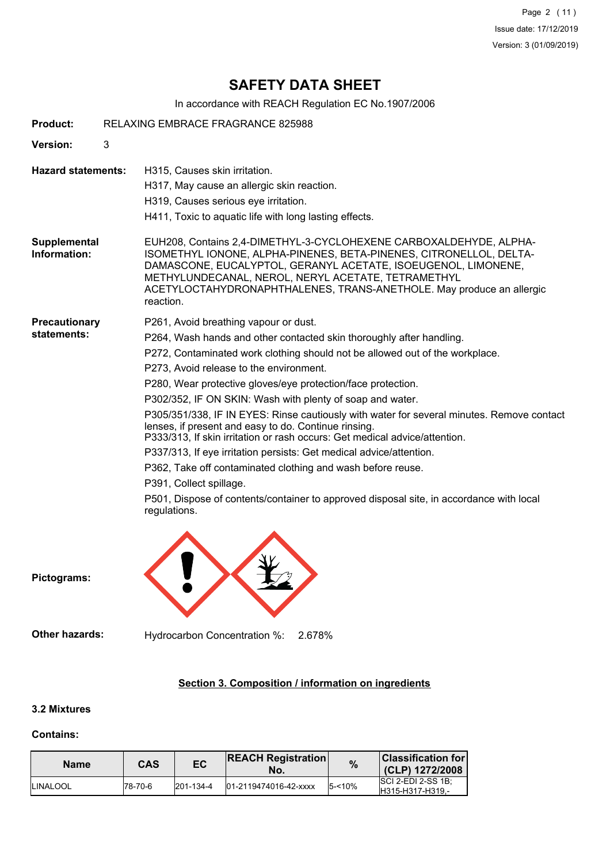Page 2 (11) Issue date: 17/12/2019 Version: 3 (01/09/2019)

## **SAFETY DATA SHEET**

In accordance with REACH Regulation EC No.1907/2006

| <b>Product:</b>                     | RELAXING EMBRACE FRAGRANCE 825988                                                                                                                                                                                                                                                                                                                                                                                                                                                                                                                                                                                                                                                                                                                                                                                                                                                    |  |  |
|-------------------------------------|--------------------------------------------------------------------------------------------------------------------------------------------------------------------------------------------------------------------------------------------------------------------------------------------------------------------------------------------------------------------------------------------------------------------------------------------------------------------------------------------------------------------------------------------------------------------------------------------------------------------------------------------------------------------------------------------------------------------------------------------------------------------------------------------------------------------------------------------------------------------------------------|--|--|
| Version:                            | 3                                                                                                                                                                                                                                                                                                                                                                                                                                                                                                                                                                                                                                                                                                                                                                                                                                                                                    |  |  |
| <b>Hazard statements:</b>           | H315, Causes skin irritation.<br>H317, May cause an allergic skin reaction.<br>H319, Causes serious eye irritation.<br>H411, Toxic to aquatic life with long lasting effects.                                                                                                                                                                                                                                                                                                                                                                                                                                                                                                                                                                                                                                                                                                        |  |  |
| Supplemental<br>Information:        | EUH208, Contains 2,4-DIMETHYL-3-CYCLOHEXENE CARBOXALDEHYDE, ALPHA-<br>ISOMETHYL IONONE, ALPHA-PINENES, BETA-PINENES, CITRONELLOL, DELTA-<br>DAMASCONE, EUCALYPTOL, GERANYL ACETATE, ISOEUGENOL, LIMONENE,<br>METHYLUNDECANAL, NEROL, NERYL ACETATE, TETRAMETHYL<br>ACETYLOCTAHYDRONAPHTHALENES, TRANS-ANETHOLE. May produce an allergic<br>reaction.                                                                                                                                                                                                                                                                                                                                                                                                                                                                                                                                 |  |  |
| <b>Precautionary</b><br>statements: | P261, Avoid breathing vapour or dust.<br>P264, Wash hands and other contacted skin thoroughly after handling.<br>P272, Contaminated work clothing should not be allowed out of the workplace.<br>P273, Avoid release to the environment.<br>P280, Wear protective gloves/eye protection/face protection.<br>P302/352, IF ON SKIN: Wash with plenty of soap and water.<br>P305/351/338, IF IN EYES: Rinse cautiously with water for several minutes. Remove contact<br>lenses, if present and easy to do. Continue rinsing.<br>P333/313, If skin irritation or rash occurs: Get medical advice/attention.<br>P337/313, If eye irritation persists: Get medical advice/attention.<br>P362, Take off contaminated clothing and wash before reuse.<br>P391, Collect spillage.<br>P501, Dispose of contents/container to approved disposal site, in accordance with local<br>regulations. |  |  |
| Pictograms:                         |                                                                                                                                                                                                                                                                                                                                                                                                                                                                                                                                                                                                                                                                                                                                                                                                                                                                                      |  |  |
| Other hazards:                      | Hydrocarbon Concentration %:<br>2.678%                                                                                                                                                                                                                                                                                                                                                                                                                                                                                                                                                                                                                                                                                                                                                                                                                                               |  |  |

## **Section 3. Composition / information on ingredients**

## **3.2 Mixtures**

## **Contains:**

| <b>Name</b>      | CAS      | EC                | <b>REACH Registration</b><br>No. | $\%$      | <b>Classification for</b><br>(CLP) 1272/2008   |
|------------------|----------|-------------------|----------------------------------|-----------|------------------------------------------------|
| <b>ILINALOOL</b> | 178-70-6 | $ 201 - 134 - 4 $ | 01-2119474016-42-xxxx            | $5 - 10%$ | <b>ISCI 2-EDI 2-SS 1B:</b><br>H315-H317-H319 - |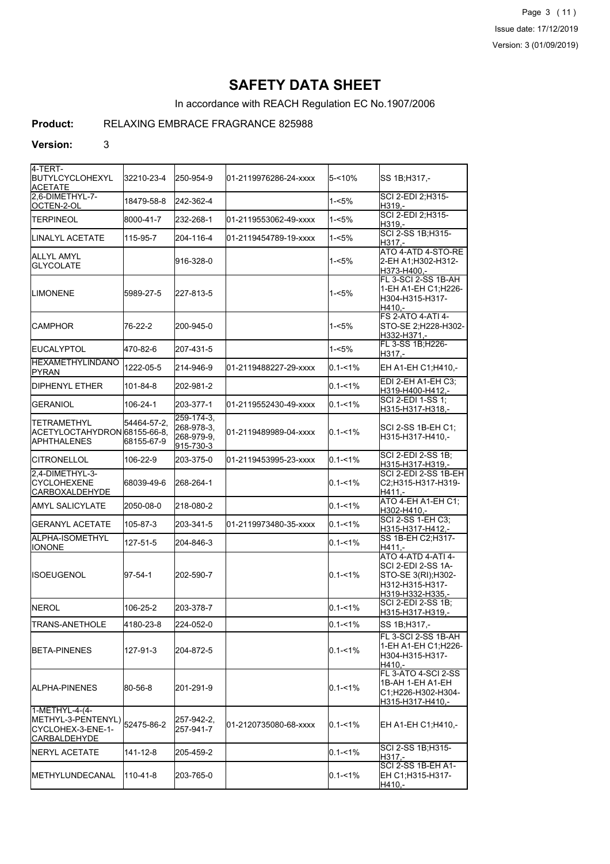Page 3 (11) Issue date: 17/12/2019 Version: 3 (01/09/2019)

## **SAFETY DATA SHEET**

In accordance with REACH Regulation EC No.1907/2006

## **Product:** RELAXING EMBRACE FRAGRANCE 825988

#### **Version:** 3

| 4-TERT-<br><b>IBUTYLCYCLOHEXYL</b><br><b>ACETATE</b>                                        | 32210-23-4                | 250-954-9                                           | l01-2119976286-24-xxxx | $5 - 10%$   | SS 1B;H317,-                                                                                           |
|---------------------------------------------------------------------------------------------|---------------------------|-----------------------------------------------------|------------------------|-------------|--------------------------------------------------------------------------------------------------------|
| 2.6-DIMETHYL-7-<br>OCTEN-2-OL                                                               | 18479-58-8                | 242-362-4                                           |                        | $1 - 5%$    | SCI 2-EDI 2:H315-<br>H319.-                                                                            |
| <b>TERPINEOL</b>                                                                            | 8000-41-7                 | 232-268-1                                           | 01-2119553062-49-xxxx  | $1 - 5%$    | SCI 2-EDI 2; H315-<br>H319.-                                                                           |
| LINALYL ACETATE                                                                             | 115-95-7                  | 204-116-4                                           | l01-2119454789-19-xxxx | $1 - 5%$    | SCI 2-SS 1B; H315-<br>H317,-                                                                           |
| ALLYL AMYL<br><b>GLYCOLATE</b>                                                              |                           | 916-328-0                                           |                        | $1 - 5%$    | ATO 4-ATD 4-STO-RE<br>2-EH A1;H302-H312-<br>H373-H400.-                                                |
| <b>LIMONENE</b>                                                                             | 5989-27-5                 | 227-813-5                                           |                        | $1 - 5%$    | FL 3-SCI 2-SS 1B-AH<br>1-EH A1-EH C1;H226-<br>H304-H315-H317-<br>H410.-                                |
| <b>CAMPHOR</b>                                                                              | 76-22-2                   | 200-945-0                                           |                        | 1-<5%       | <b>FS 2-ATO 4-ATI 4-</b><br>STO-SE 2;H228-H302-<br>H332-H371,-                                         |
| <b>EUCALYPTOL</b>                                                                           | 470-82-6                  | 207-431-5                                           |                        | $1 - 5%$    | FL 3-SS 1B;H226-<br>H317.-                                                                             |
| <b>HEXAMETHYLINDANO</b><br>PYRAN                                                            | 1222-05-5                 | 214-946-9                                           | 01-2119488227-29-xxxx  | $0.1 - 1%$  | EH A1-EH C1;H410,-                                                                                     |
| <b>DIPHENYL ETHER</b>                                                                       | 101-84-8                  | 202-981-2                                           |                        | $0.1 - 1\%$ | EDI 2-EH A1-EH C3;<br>H319-H400-H412,-                                                                 |
| <b>GERANIOL</b>                                                                             | 106-24-1                  | 203-377-1                                           | 01-2119552430-49-xxxx  | $0.1 - 1%$  | SCI 2-EDI 1-SS 1:<br>H315-H317-H318,-                                                                  |
| TETRAMETHYL<br>ACETYLOCTAHYDRON 68155-66-8,<br><b>APHTHALENES</b>                           | 54464-57-2,<br>68155-67-9 | 259-174-3.<br>268-978-3,<br>268-979-9,<br>915-730-3 | l01-2119489989-04-xxxx | $0.1 - 1\%$ | SCI 2-SS 1B-EH C1;<br>H315-H317-H410,-                                                                 |
| <b>ICITRONELLOL</b>                                                                         | 106-22-9                  | 203-375-0                                           | 01-2119453995-23-xxxx  | $0.1 - 1%$  | <b>SCI 2-EDI 2-SS 1B:</b><br>H315-H317-H319,-                                                          |
| 2.4-DIMETHYL-3-<br><b>CYCLOHEXENE</b><br>CARBOXALDEHYDE                                     | 68039-49-6                | 268-264-1                                           |                        | $0.1 - 1%$  | SCI 2-EDI 2-SS 1B-EH<br>C2;H315-H317-H319-<br>H411.-                                                   |
| AMYL SALICYLATE                                                                             | 2050-08-0                 | 218-080-2                                           |                        | $0.1 - 1\%$ | ATO 4-EH A1-EH C1;<br>H302-H410,-                                                                      |
| <b>GERANYL ACETATE</b>                                                                      | 105-87-3                  | 203-341-5                                           | 01-2119973480-35-xxxx  | $0.1 - 1%$  | <b>SCI 2-SS 1-EH C3:</b><br>H315-H317-H412,-                                                           |
| ALPHA-ISOMETHYL<br>IONONE                                                                   | 127-51-5                  | 204-846-3                                           |                        | $0.1 - 1\%$ | SS 1B-EH C2; H317-<br>H411.-                                                                           |
| <b>ISOEUGENOL</b>                                                                           | 97-54-1                   | 202-590-7                                           |                        | $0.1 - 1\%$ | ATO 4-ATD 4-ATI 4-<br>SCI 2-EDI 2-SS 1A-<br>STO-SE 3(RI); H302-<br>H312-H315-H317-<br>H319-H332-H335.- |
| <b>NEROL</b>                                                                                | 106-25-2                  | 203-378-7                                           |                        | $0.1 - 1\%$ | SCI 2-EDI 2-SS 1B;<br>H315-H317-H319,-                                                                 |
| TRANS-ANETHOLE                                                                              | 4180-23-8                 | 224-052-0                                           |                        | $0.1 - 1%$  | SS 1B;H317,-                                                                                           |
| <b>BETA-PINENES</b>                                                                         | 127-91-3                  | 204-872-5                                           |                        | $0.1 - 1\%$ | FL 3-SCI 2-SS 1B-AH<br>1-EH A1-EH C1; H226-<br>IH304-H315-H317-<br>H410.-                              |
| IALPHA-PINENES                                                                              | 80-56-8                   | 201-291-9                                           |                        | $0.1 - 1\%$ | FL 3-ATO 4-SCI 2-SS<br>1B-AH 1-EH A1-EH<br>C1;H226-H302-H304-<br>H315-H317-H410,-                      |
| 1-METHYL-4-(4-<br>METHYL-3-PENTENYL) 52475-86-2<br>CYCLOHEX-3-ENE-1-<br><b>CARBALDEHYDE</b> |                           | 257-942-2,<br>257-941-7                             | 01-2120735080-68-xxxx  | $0.1 - 1\%$ | EH A1-EH C1; H410,-                                                                                    |
| NERYL ACETATE                                                                               | 141-12-8                  | 205-459-2                                           |                        | $0.1 - 1\%$ | SCI 2-SS 1B;H315-<br>H317.-                                                                            |
| <b>IMETHYLUNDECANAL</b>                                                                     | 110-41-8                  | 203-765-0                                           |                        | $0.1 - 1\%$ | ISCI 2-SS 1B-EH A1-<br>EH C1;H315-H317-<br>H410,-                                                      |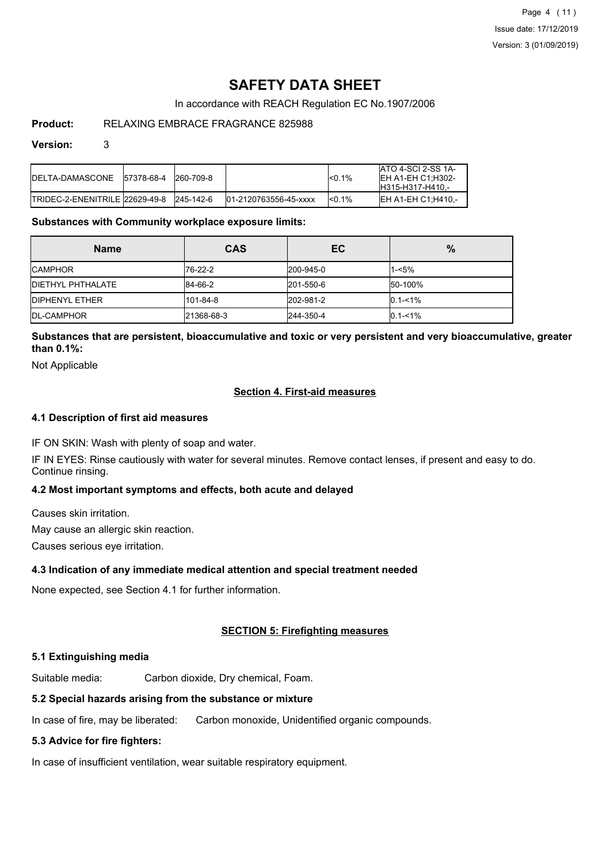## **SAFETY DATA SHEET**

In accordance with REACH Regulation EC No.1907/2006

## **Product:** RELAXING EMBRACE FRAGRANCE 825988

#### **Version:** 3

| IDELTA-DAMASCONE 157378-68-4    | 260-709-8 |                       | <sub>0.1%</sub> | <b>ATO 4-SCI 2-SS 1A-</b><br>IEH A1-EH C1:H302-<br>IH315-H317-H410.- |
|---------------------------------|-----------|-----------------------|-----------------|----------------------------------------------------------------------|
| ITRIDEC-2-ENENITRILE 22629-49-8 | 245-142-6 | 01-2120763556-45-xxxx | <sub>0.1%</sub> | IEH A1-EH C1:H410.-                                                  |

## **Substances with Community workplace exposure limits:**

| <b>Name</b>               | <b>CAS</b> | EC        | $\%$          |
|---------------------------|------------|-----------|---------------|
| <b>ICAMPHOR</b>           | 176-22-2   | 200-945-0 | $1 - 5%$      |
| <b>IDIETHYL PHTHALATE</b> | 84-66-2    | 201-550-6 | 50-100%       |
| <b>IDIPHENYL ETHER</b>    | 101-84-8   | 202-981-2 | $0.1 - 1\%$   |
| <b>IDL-CAMPHOR</b>        | 21368-68-3 | 244-350-4 | $ 0.1 - 1\% $ |

## **Substances that are persistent, bioaccumulative and toxic or very persistent and very bioaccumulative, greater than 0.1%:**

Not Applicable

## **Section 4. First-aid measures**

## **4.1 Description of first aid measures**

IF ON SKIN: Wash with plenty of soap and water.

IF IN EYES: Rinse cautiously with water for several minutes. Remove contact lenses, if present and easy to do. Continue rinsing.

## **4.2 Most important symptoms and effects, both acute and delayed**

Causes skin irritation.

May cause an allergic skin reaction.

Causes serious eye irritation.

## **4.3 Indication of any immediate medical attention and special treatment needed**

None expected, see Section 4.1 for further information.

## **SECTION 5: Firefighting measures**

## **5.1 Extinguishing media**

Suitable media: Carbon dioxide, Dry chemical, Foam.

## **5.2 Special hazards arising from the substance or mixture**

In case of fire, may be liberated: Carbon monoxide, Unidentified organic compounds.

## **5.3 Advice for fire fighters:**

In case of insufficient ventilation, wear suitable respiratory equipment.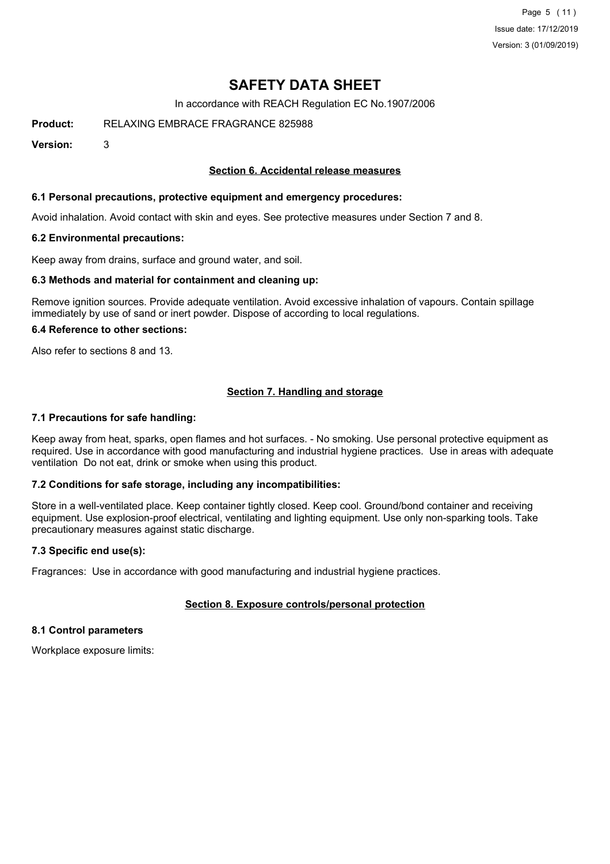Page 5 (11) Issue date: 17/12/2019 Version: 3 (01/09/2019)

## **SAFETY DATA SHEET**

In accordance with REACH Regulation EC No.1907/2006

**Product:** RELAXING EMBRACE FRAGRANCE 825988

**Version:** 3

## **Section 6. Accidental release measures**

## **6.1 Personal precautions, protective equipment and emergency procedures:**

Avoid inhalation. Avoid contact with skin and eyes. See protective measures under Section 7 and 8.

#### **6.2 Environmental precautions:**

Keep away from drains, surface and ground water, and soil.

#### **6.3 Methods and material for containment and cleaning up:**

Remove ignition sources. Provide adequate ventilation. Avoid excessive inhalation of vapours. Contain spillage immediately by use of sand or inert powder. Dispose of according to local regulations.

#### **6.4 Reference to other sections:**

Also refer to sections 8 and 13.

## **Section 7. Handling and storage**

#### **7.1 Precautions for safe handling:**

Keep away from heat, sparks, open flames and hot surfaces. - No smoking. Use personal protective equipment as required. Use in accordance with good manufacturing and industrial hygiene practices. Use in areas with adequate ventilation Do not eat, drink or smoke when using this product.

## **7.2 Conditions for safe storage, including any incompatibilities:**

Store in a well-ventilated place. Keep container tightly closed. Keep cool. Ground/bond container and receiving equipment. Use explosion-proof electrical, ventilating and lighting equipment. Use only non-sparking tools. Take precautionary measures against static discharge.

## **7.3 Specific end use(s):**

Fragrances: Use in accordance with good manufacturing and industrial hygiene practices.

## **Section 8. Exposure controls/personal protection**

#### **8.1 Control parameters**

Workplace exposure limits: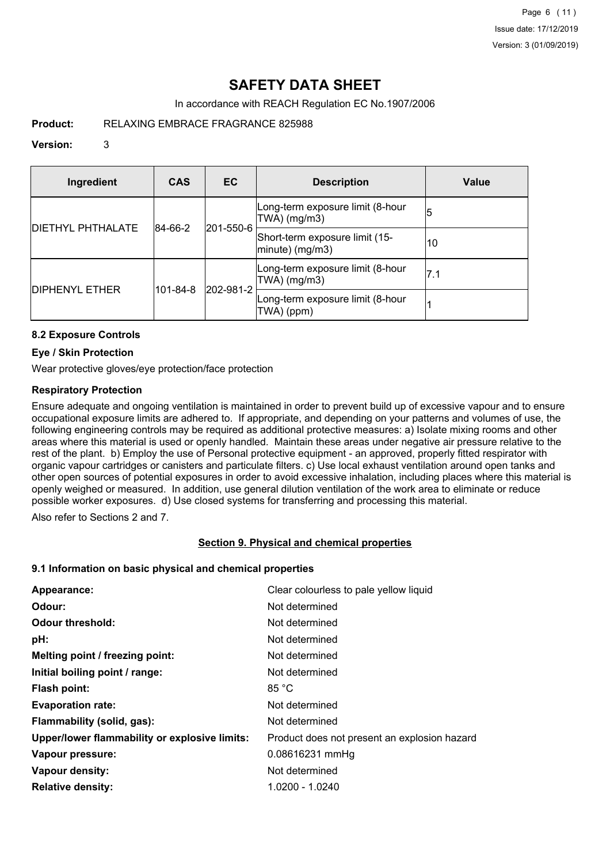## **SAFETY DATA SHEET**

In accordance with REACH Regulation EC No.1907/2006

**Product:** RELAXING EMBRACE FRAGRANCE 825988

## **Version:** 3

| Ingredient               | <b>CAS</b> | EC        | <b>Description</b>                                | Value |
|--------------------------|------------|-----------|---------------------------------------------------|-------|
|                          | 84-66-2    | 201-550-6 | Long-term exposure limit (8-hour<br>TWA) (mg/m3)  | 15    |
| <b>DIETHYL PHTHALATE</b> |            |           | Short-term exposure limit (15-<br>minute) (mg/m3) | 10    |
|                          | 101-84-8   | 202-981-2 | Long-term exposure limit (8-hour<br>TWA) (mg/m3)  | 17.1  |
| <b>DIPHENYL ETHER</b>    |            |           | Long-term exposure limit (8-hour<br>TWA) (ppm)    |       |

## **8.2 Exposure Controls**

## **Eye / Skin Protection**

Wear protective gloves/eye protection/face protection

## **Respiratory Protection**

Ensure adequate and ongoing ventilation is maintained in order to prevent build up of excessive vapour and to ensure occupational exposure limits are adhered to. If appropriate, and depending on your patterns and volumes of use, the following engineering controls may be required as additional protective measures: a) Isolate mixing rooms and other areas where this material is used or openly handled. Maintain these areas under negative air pressure relative to the rest of the plant. b) Employ the use of Personal protective equipment - an approved, properly fitted respirator with organic vapour cartridges or canisters and particulate filters. c) Use local exhaust ventilation around open tanks and other open sources of potential exposures in order to avoid excessive inhalation, including places where this material is openly weighed or measured. In addition, use general dilution ventilation of the work area to eliminate or reduce possible worker exposures. d) Use closed systems for transferring and processing this material.

Also refer to Sections 2 and 7.

## **Section 9. Physical and chemical properties**

## **9.1 Information on basic physical and chemical properties**

| Appearance:                                   | Clear colourless to pale yellow liquid       |
|-----------------------------------------------|----------------------------------------------|
| Odour:                                        | Not determined                               |
| <b>Odour threshold:</b>                       | Not determined                               |
| pH:                                           | Not determined                               |
| Melting point / freezing point:               | Not determined                               |
| Initial boiling point / range:                | Not determined                               |
| <b>Flash point:</b>                           | 85 °C                                        |
| <b>Evaporation rate:</b>                      | Not determined                               |
| Flammability (solid, gas):                    | Not determined                               |
| Upper/lower flammability or explosive limits: | Product does not present an explosion hazard |
| Vapour pressure:                              | 0.08616231 mmHg                              |
| Vapour density:                               | Not determined                               |
| <b>Relative density:</b>                      | 1.0200 - 1.0240                              |
|                                               |                                              |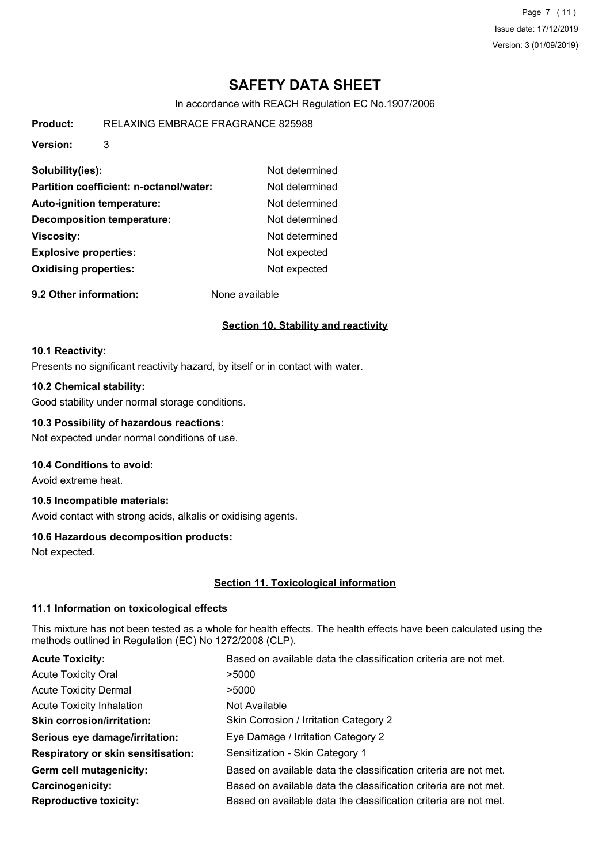Page 7 (11) Issue date: 17/12/2019 Version: 3 (01/09/2019)

## **SAFETY DATA SHEET**

In accordance with REACH Regulation EC No.1907/2006

| Product: | RELAXING EMBRACE FRAGRANCE 825988 |  |
|----------|-----------------------------------|--|
|          |                                   |  |

**Version:** 3

| Solubility(ies):                        | Not determined |
|-----------------------------------------|----------------|
| Partition coefficient: n-octanol/water: | Not determined |
| <b>Auto-ignition temperature:</b>       | Not determined |
| <b>Decomposition temperature:</b>       | Not determined |
| <b>Viscosity:</b>                       | Not determined |
| <b>Explosive properties:</b>            | Not expected   |
| <b>Oxidising properties:</b>            | Not expected   |
|                                         |                |

**9.2 Other information:** None available

## **Section 10. Stability and reactivity**

#### **10.1 Reactivity:**

Presents no significant reactivity hazard, by itself or in contact with water.

## **10.2 Chemical stability:**

Good stability under normal storage conditions.

## **10.3 Possibility of hazardous reactions:**

Not expected under normal conditions of use.

## **10.4 Conditions to avoid:**

Avoid extreme heat.

## **10.5 Incompatible materials:**

Avoid contact with strong acids, alkalis or oxidising agents.

## **10.6 Hazardous decomposition products:**

Not expected.

## **Section 11. Toxicological information**

## **11.1 Information on toxicological effects**

This mixture has not been tested as a whole for health effects. The health effects have been calculated using the methods outlined in Regulation (EC) No 1272/2008 (CLP).

| <b>Acute Toxicity:</b>                    | Based on available data the classification criteria are not met. |
|-------------------------------------------|------------------------------------------------------------------|
| <b>Acute Toxicity Oral</b>                | >5000                                                            |
| <b>Acute Toxicity Dermal</b>              | >5000                                                            |
| <b>Acute Toxicity Inhalation</b>          | Not Available                                                    |
| <b>Skin corrosion/irritation:</b>         | Skin Corrosion / Irritation Category 2                           |
| Serious eye damage/irritation:            | Eye Damage / Irritation Category 2                               |
| <b>Respiratory or skin sensitisation:</b> | Sensitization - Skin Category 1                                  |
| Germ cell mutagenicity:                   | Based on available data the classification criteria are not met. |
| Carcinogenicity:                          | Based on available data the classification criteria are not met. |
| <b>Reproductive toxicity:</b>             | Based on available data the classification criteria are not met. |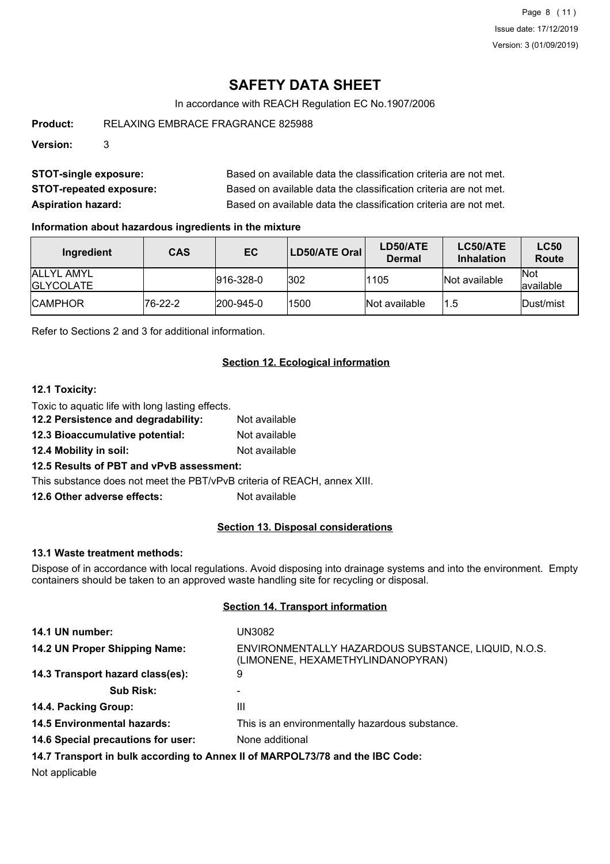Page 8 (11) Issue date: 17/12/2019 Version: 3 (01/09/2019)

## **SAFETY DATA SHEET**

In accordance with REACH Regulation EC No.1907/2006

**Product:** RELAXING EMBRACE FRAGRANCE 825988

**Version:** 3

| <b>STOT-single exposure:</b>   | Based on available data the classification criteria are not met. |
|--------------------------------|------------------------------------------------------------------|
| <b>STOT-repeated exposure:</b> | Based on available data the classification criteria are not met. |
| <b>Aspiration hazard:</b>      | Based on available data the classification criteria are not met. |

## **Information about hazardous ingredients in the mixture**

| Ingredient                              | <b>CAS</b> | EC                | LD50/ATE Oral | LD50/ATE<br><b>Dermal</b> | LC50/ATE<br><b>Inhalation</b> | <b>LC50</b><br>Route     |
|-----------------------------------------|------------|-------------------|---------------|---------------------------|-------------------------------|--------------------------|
| <b>JALLYL AMYL</b><br><b>IGLYCOLATE</b> |            | $ 916 - 328 - 0 $ | 302           | 1105                      | <b>Not available</b>          | <b>Not</b><br>lavailable |
| <b>ICAMPHOR</b>                         | 76-22-2    | $ 200 - 945 - 0 $ | 1500          | Not available             | 1.5                           | <b>IDust/mist</b>        |

Refer to Sections 2 and 3 for additional information.

## **Section 12. Ecological information**

## **12.1 Toxicity:**

Toxic to aquatic life with long lasting effects.

- **12.2 Persistence and degradability:** Not available
- **12.3 Bioaccumulative potential:** Not available
- **12.4 Mobility in soil:** Not available

## **12.5 Results of PBT and vPvB assessment:**

This substance does not meet the PBT/vPvB criteria of REACH, annex XIII.

**12.6 Other adverse effects:** Not available

## **Section 13. Disposal considerations**

## **13.1 Waste treatment methods:**

Dispose of in accordance with local regulations. Avoid disposing into drainage systems and into the environment. Empty containers should be taken to an approved waste handling site for recycling or disposal.

## **Section 14. Transport information**

| 14.1 UN number:                                                               | UN3082                                                                                   |  |
|-------------------------------------------------------------------------------|------------------------------------------------------------------------------------------|--|
| 14.2 UN Proper Shipping Name:                                                 | ENVIRONMENTALLY HAZARDOUS SUBSTANCE, LIQUID, N.O.S.<br>(LIMONENE, HEXAMETHYLINDANOPYRAN) |  |
| 14.3 Transport hazard class(es):                                              | 9                                                                                        |  |
| <b>Sub Risk:</b>                                                              |                                                                                          |  |
| 14.4. Packing Group:                                                          | Ш                                                                                        |  |
| <b>14.5 Environmental hazards:</b>                                            | This is an environmentally hazardous substance.                                          |  |
| 14.6 Special precautions for user:                                            | None additional                                                                          |  |
| 14.7 Transport in bulk according to Annex II of MARPOL73/78 and the IBC Code: |                                                                                          |  |

Not applicable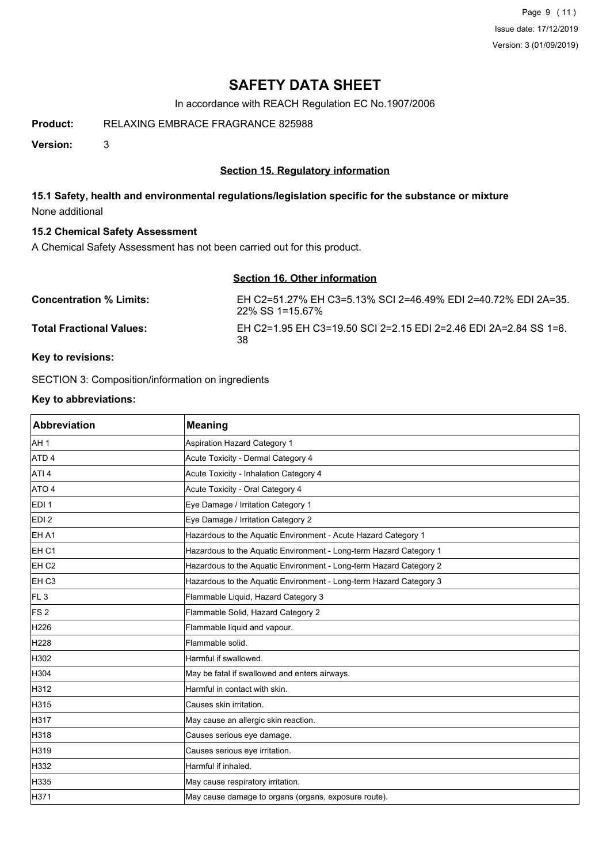Page 9 (11) Issue date: 17/12/2019 Version: 3 (01/09/2019)

## **SAFETY DATA SHEET**

In accordance with REACH Regulation EC No.1907/2006

**Product:** RELAXING EMBRACE FRAGRANCE 825988

**Version:** 3

## **Section 15. Regulatory information**

## **15.1 Safety, health and environmental regulations/legislation specific for the substance or mixture** None additional

## **15.2 Chemical Safety Assessment**

A Chemical Safety Assessment has not been carried out for this product.

# **Section 16. Other information**

| <b>Concentration % Limits:</b>  | EH C2=51.27% EH C3=5.13% SCI 2=46.49% EDI 2=40.72% EDI 2A=35.<br>22% SS 1=15.67% |
|---------------------------------|----------------------------------------------------------------------------------|
| <b>Total Fractional Values:</b> | EH C2=1.95 EH C3=19.50 SCI 2=2.15 EDI 2=2.46 EDI 2A=2.84 SS 1=6.<br>38           |

## **Key to revisions:**

SECTION 3: Composition/information on ingredients

## **Key to abbreviations:**

| <b>Abbreviation</b> | <b>Meaning</b>                                                     |
|---------------------|--------------------------------------------------------------------|
| AH <sub>1</sub>     | Aspiration Hazard Category 1                                       |
| ATD <sub>4</sub>    | Acute Toxicity - Dermal Category 4                                 |
| ATI <sub>4</sub>    | Acute Toxicity - Inhalation Category 4                             |
| ATO 4               | Acute Toxicity - Oral Category 4                                   |
| EDI <sub>1</sub>    | Eye Damage / Irritation Category 1                                 |
| EDI <sub>2</sub>    | Eye Damage / Irritation Category 2                                 |
| <b>EHA1</b>         | Hazardous to the Aquatic Environment - Acute Hazard Category 1     |
| EH <sub>C1</sub>    | Hazardous to the Aquatic Environment - Long-term Hazard Category 1 |
| EH <sub>C2</sub>    | Hazardous to the Aquatic Environment - Long-term Hazard Category 2 |
| EH <sub>C3</sub>    | Hazardous to the Aquatic Environment - Long-term Hazard Category 3 |
| FL <sub>3</sub>     | Flammable Liquid, Hazard Category 3                                |
| FS <sub>2</sub>     | Flammable Solid, Hazard Category 2                                 |
| H226                | Flammable liquid and vapour.                                       |
| H228                | Flammable solid.                                                   |
| H302                | Harmful if swallowed.                                              |
| H304                | May be fatal if swallowed and enters airways.                      |
| H312                | Harmful in contact with skin.                                      |
| H315                | Causes skin irritation.                                            |
| H317                | May cause an allergic skin reaction.                               |
| H318                | Causes serious eye damage.                                         |
| H319                | Causes serious eye irritation.                                     |
| H332                | Harmful if inhaled.                                                |
| H335                | May cause respiratory irritation.                                  |
| H371                | May cause damage to organs (organs, exposure route).               |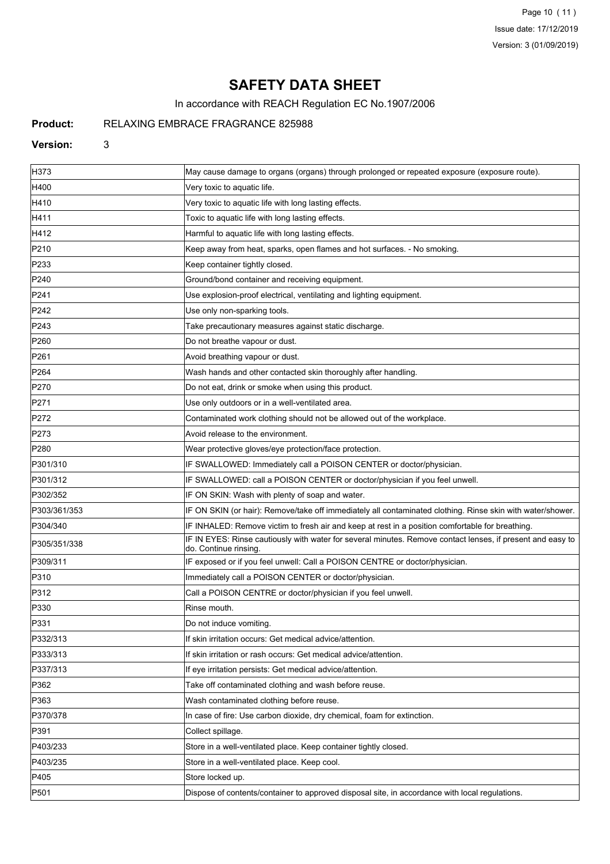Page 10 (11) Issue date: 17/12/2019 Version: 3 (01/09/2019)

## **SAFETY DATA SHEET**

In accordance with REACH Regulation EC No.1907/2006

## **Product:** RELAXING EMBRACE FRAGRANCE 825988

#### **Version:** 3

| H373             | May cause damage to organs (organs) through prolonged or repeated exposure (exposure route).                                        |  |
|------------------|-------------------------------------------------------------------------------------------------------------------------------------|--|
| H400             | Very toxic to aquatic life.                                                                                                         |  |
| H410             | Very toxic to aquatic life with long lasting effects.                                                                               |  |
| H411             | Toxic to aquatic life with long lasting effects.                                                                                    |  |
| H412             | Harmful to aquatic life with long lasting effects.                                                                                  |  |
| P210             | Keep away from heat, sparks, open flames and hot surfaces. - No smoking.                                                            |  |
| P233             | Keep container tightly closed.                                                                                                      |  |
| P240             | Ground/bond container and receiving equipment.                                                                                      |  |
| P241             | Use explosion-proof electrical, ventilating and lighting equipment.                                                                 |  |
| P242             | Use only non-sparking tools.                                                                                                        |  |
| P243             | Take precautionary measures against static discharge.                                                                               |  |
| P <sub>260</sub> | Do not breathe vapour or dust.                                                                                                      |  |
| P261             | Avoid breathing vapour or dust.                                                                                                     |  |
| P <sub>264</sub> | Wash hands and other contacted skin thoroughly after handling.                                                                      |  |
| P270             | Do not eat, drink or smoke when using this product.                                                                                 |  |
| P271             | Use only outdoors or in a well-ventilated area.                                                                                     |  |
| P272             | Contaminated work clothing should not be allowed out of the workplace.                                                              |  |
| P273             | Avoid release to the environment.                                                                                                   |  |
| P <sub>280</sub> | Wear protective gloves/eye protection/face protection.                                                                              |  |
| P301/310         | IF SWALLOWED: Immediately call a POISON CENTER or doctor/physician.                                                                 |  |
| P301/312         | IF SWALLOWED: call a POISON CENTER or doctor/physician if you feel unwell.                                                          |  |
| P302/352         | IF ON SKIN: Wash with plenty of soap and water.                                                                                     |  |
| P303/361/353     | IF ON SKIN (or hair): Remove/take off immediately all contaminated clothing. Rinse skin with water/shower.                          |  |
| P304/340         | IF INHALED: Remove victim to fresh air and keep at rest in a position comfortable for breathing.                                    |  |
| P305/351/338     | IF IN EYES: Rinse cautiously with water for several minutes. Remove contact lenses, if present and easy to<br>do. Continue rinsing. |  |
| P309/311         | IF exposed or if you feel unwell: Call a POISON CENTRE or doctor/physician.                                                         |  |
| P310             | Immediately call a POISON CENTER or doctor/physician.                                                                               |  |
| P312             | Call a POISON CENTRE or doctor/physician if you feel unwell.                                                                        |  |
| P330             | Rinse mouth.                                                                                                                        |  |
| P331             | Do not induce vomiting.                                                                                                             |  |
| P332/313         | If skin irritation occurs: Get medical advice/attention.                                                                            |  |
| P333/313         | If skin irritation or rash occurs: Get medical advice/attention.                                                                    |  |
| P337/313         | If eye irritation persists: Get medical advice/attention.                                                                           |  |
| P362             | Take off contaminated clothing and wash before reuse.                                                                               |  |
| P363             | Wash contaminated clothing before reuse.                                                                                            |  |
| P370/378         | In case of fire: Use carbon dioxide, dry chemical, foam for extinction.                                                             |  |
| P391             | Collect spillage.                                                                                                                   |  |
| P403/233         | Store in a well-ventilated place. Keep container tightly closed.                                                                    |  |
| P403/235         | Store in a well-ventilated place. Keep cool.                                                                                        |  |
| P405             | Store locked up.                                                                                                                    |  |
| P501             | Dispose of contents/container to approved disposal site, in accordance with local regulations.                                      |  |